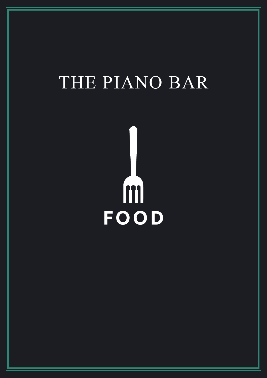# THE PIANO BAR

m **FOOD**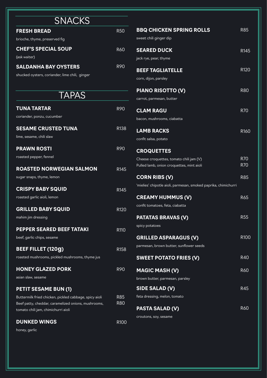| <b>SNACKS</b>                                                                              |                  |                                     |
|--------------------------------------------------------------------------------------------|------------------|-------------------------------------|
| <b>FRESH BREAD</b>                                                                         | <b>R50</b>       | <b>BBQ CHICK</b>                    |
| brioche, thyme, preserved fig                                                              |                  | sweet chili ginge                   |
| <b>CHEF'S SPECIAL SOUP</b>                                                                 | <b>R60</b>       | <b>SEARED DU</b>                    |
| (ask waiter)                                                                               |                  | jack rye, pear, th                  |
| <b>SALDANHA BAY OYSTERS</b>                                                                | <b>R90</b>       | <b>BEEF TAGL</b>                    |
| shucked oysters, coriander, lime chili, ginger                                             |                  | corn, dijon, pars                   |
| <b>TAPAS</b>                                                                               |                  | <b>PIANO RIS</b><br>carrot, parmesa |
| <b>TUNA TARTAR</b>                                                                         | <b>R90</b>       | <b>CLAM RAG</b>                     |
| coriander, ponzu, cucumber                                                                 |                  | bacon, mushroo                      |
| <b>SESAME CRUSTED TUNA</b>                                                                 | R <sub>138</sub> | <b>LAMB RAC</b>                     |
| lime, sesame, chili slaw                                                                   |                  | confit salsa, pota                  |
| <b>PRAWN ROSTI</b>                                                                         | R90              | <b>CROQUET1</b>                     |
| roasted pepper, fennel                                                                     |                  | Cheese croquet                      |
| <b>ROASTED NORWEGIAN SALMON</b>                                                            | R <sub>145</sub> | Pulled lamb, onid                   |
| sugar snaps, thyme, lemon                                                                  |                  | <b>CORN RIBS</b>                    |
| <b>CRISPY BABY SQUID</b>                                                                   | R <sub>145</sub> | 'mielies' chipotle                  |
| roasted garlic aioli, lemon                                                                |                  | <b>CREAMY H</b>                     |
| <b>GRILLED BABY SQUID</b>                                                                  | R120             | confit tomatoes,                    |
| mahim jim dressing                                                                         |                  | <b>PATATAS B</b>                    |
| <b>PEPPER SEARED BEEF TATAKI</b>                                                           | R110             | spicy potatoes                      |
| beef, garlic chips, sesame                                                                 |                  | <b>GRILLED A!</b>                   |
| <b>BEEF FILLET (120g)</b>                                                                  | R <sub>158</sub> | parmesan, brow                      |
| roasted mushrooms, pickled mushrooms, thyme jus                                            |                  | <b>SWEET POT</b>                    |
| <b>HONEY GLAZED PORK</b>                                                                   | R90              | <b>MAGIC MA</b>                     |
| asian slaw, sesame                                                                         |                  | brown butter, pa                    |
| <b>PETIT SESAME BUN (1)</b>                                                                |                  | <b>SIDE SALA</b>                    |
| Buttermilk fried chicken, pickled cabbage, spicy aioli                                     | <b>R85</b>       | feta dressing, m                    |
| Beef patty, cheddar, caramelized onions, mushrooms,<br>tomato chili jam, chimichurri aioli | <b>R80</b>       | <b>PASTA SAL</b>                    |
| <b>DUNKED WINGS</b>                                                                        |                  | croutons, soy, se                   |
| honey, garlic                                                                              | R100             |                                     |

| <b>BBQ CHICKEN SPRING ROLLS</b><br>sweet chili ginger dip                                                 | <b>R85</b>               |
|-----------------------------------------------------------------------------------------------------------|--------------------------|
| <b>SEARED DUCK</b><br>jack rye, pear, thyme                                                               | R <sub>145</sub>         |
| <b>BEEF TAGLIATELLE</b><br>corn, dijon, parsley                                                           | R120                     |
| <b>PIANO RISOTTO (V)</b><br>carrot, parmesan, butter                                                      | <b>R80</b>               |
| <b>CLAM RAGU</b><br>bacon, mushrooms, ciabatta                                                            | <b>R70</b>               |
| <b>LAMB RACKS</b><br>confit salsa, potato                                                                 | R160                     |
| <b>CROQUETTES</b><br>Cheese croquettes, tomato chili jam (V)<br>Pulled lamb, onion croquettes, mint aioli | <b>R70</b><br><b>R70</b> |
| <b>CORN RIBS (V)</b><br>'mielies' chipotle aioli, parmesan, smoked paprika, chimichurri                   | <b>R85</b>               |
| <b>CREAMY HUMMUS (V)</b><br>confit tomatoes, feta, ciabatta                                               | R65                      |
| <b>PATATAS BRAVAS (V)</b><br>spicy potatoes                                                               | <b>R55</b>               |
| <b>GRILLED ASPARAGUS (V)</b><br>parmesan, brown butter, sunflower seeds                                   | R <sub>100</sub>         |
| <b>SWEET POTATO FRIES (V)</b>                                                                             | R40                      |
| <b>MAGIC MASH (V)</b><br>brown butter, parmesan, parsley                                                  | <b>R60</b>               |
| <b>SIDE SALAD (V)</b><br>feta dressing, melon, tomato                                                     | R45                      |
| <b>PASTA SALAD (V)</b><br>croutons, soy, sesame                                                           | <b>R60</b>               |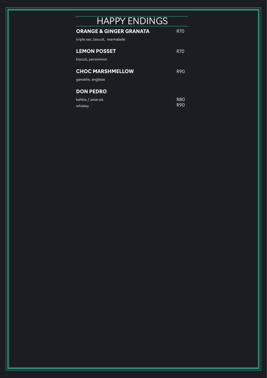| <b>HAPPY ENDINGS</b>               |            |
|------------------------------------|------------|
| <b>ORANGE &amp; GINGER GRANATA</b> | R70        |
| triple sec, biscuit, marmalade     |            |
| <b>LEMON POSSET</b>                | R70        |
| biscuit, persimmon                 |            |
| <b>CHOC MARSHMELLOW</b>            | <b>R90</b> |
| ganashe, anglaise                  |            |
| <b>DON PEDRO</b>                   |            |
| kahlúa / amarula                   | R80        |
| whiskey                            | R90        |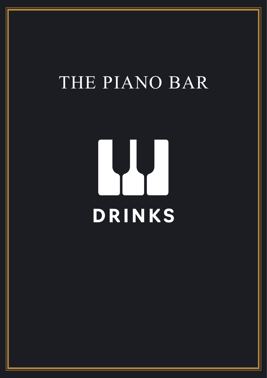# THE PIANO BAR

# **DRINKS**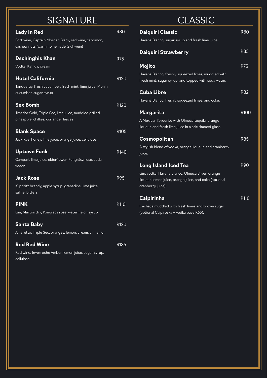| <b>SIGNATURE</b>                                               |      |
|----------------------------------------------------------------|------|
| <b>Lady In Red</b>                                             | R80  |
| Port wine, Captain Morgan Black, red wine, cardimon,           |      |
| cashew nuts (warm homemade Glühwein)                           |      |
| Dschinghis Khan                                                | R75  |
| Vodka, Kahlúa, cream                                           |      |
| <b>Hotel California</b>                                        | R120 |
| Tanqueray, fresh cucumber, fresh mint, lime juice, Monin       |      |
| cucumber, sugar syrup                                          |      |
| <b>Sex Bomb</b>                                                | R120 |
| Jimador Gold, Triple Sec, lime juice, muddled grilled          |      |
| pineapple, chillies, coriander leaves                          |      |
| <b>Blank Space</b>                                             | R105 |
| Jack Rye, honey, lime juice, orange juice, cellulose           |      |
| <b>Uptown Funk</b>                                             | R140 |
| Campari, lime juice, elderflower, Pongrácz rosé, soda<br>water |      |
| <b>Jack Rose</b>                                               | R95  |
| Klipdrift brandy, apple syrup, granadine, lime juice,          |      |
| saline, bitters                                                |      |
| <b>P!NK</b>                                                    | R110 |
| Gin, Martini dry, Pongrácz rosé, watermelon syrup              |      |
| <b>Santa Baby</b>                                              | R120 |
| Amaretto, Triple Sec, oranges, lemon, cream, cinnamon          |      |
| <b>Red Red Wine</b>                                            | R135 |
| Red wine, Inverroche Amber, lemon juice, sugar syrup,          |      |
| cellulose                                                      |      |

#### **CLASSIC**

| <b>Daiquiri Classic</b>                                                                                     | <b>R80</b>       |
|-------------------------------------------------------------------------------------------------------------|------------------|
| Havana Blanco, sugar syrup and fresh lime juice.                                                            |                  |
| <b>Daiquiri Strawberry</b>                                                                                  | R85              |
| Mojito                                                                                                      | <b>R75</b>       |
| Havana Blanco, freshly squeezed limes, muddled with<br>fresh mint, sugar syrup, and topped with soda water. |                  |
| <b>Cuba Libre</b>                                                                                           | R82              |
| Havana Blanco, freshly squeezed limes, and coke.                                                            |                  |
| Margarita                                                                                                   | R <sub>100</sub> |
| A Mexican favourite with Olmeca tequila, orange                                                             |                  |
| liqueur, and fresh lime juice in a salt rimmed glass.                                                       |                  |
| Cosmopolitan                                                                                                | <b>R85</b>       |
| A stylish blend of vodka, orange liqueur, and cranberry                                                     |                  |
| juice.                                                                                                      |                  |
| <b>Long Island Iced Tea</b>                                                                                 | <b>R90</b>       |
| Gin, vodka, Havana Blanco, Olmeca Silver, orange                                                            |                  |
| liqueur, lemon juice, orange juice, and coke (optional                                                      |                  |
| cranberry juice).                                                                                           |                  |
| <b>Caipirinha</b>                                                                                           | R110             |
| Cachaça muddled with fresh limes and brown sugar                                                            |                  |
| (optional Caipiroska - vodka base R65).                                                                     |                  |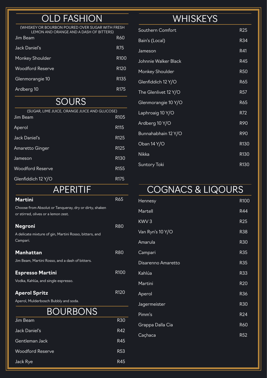### **OLD FASHION**

(WHISKEY OR BOURBON POURED OVER SUGAR WITH FRESH LEMON AND ORANGE AND A DASH OF BITTERS)

| Jim Beam                | <b>R60</b>       |
|-------------------------|------------------|
| Jack Daniel's           | R75              |
| Monkey Shoulder         | R <sub>100</sub> |
| <b>Woodford Reserve</b> | R <sub>120</sub> |
| Glenmorangie 10         | R <sub>135</sub> |
| Ardberg 10              | R175             |

#### **SOURS**

| (SUGAR, LIME JUICE, ORANGE JUICE AND GLUCOSE)<br>Jim Beam | R <sub>105</sub> |
|-----------------------------------------------------------|------------------|
|                                                           |                  |
| Aperol                                                    | R <sub>115</sub> |
| Jack Daniel's                                             | R <sub>125</sub> |
| Amaretto Ginger                                           | R <sub>125</sub> |
| Jameson                                                   | R <sub>130</sub> |
| <b>Woodford Reserve</b>                                   | R <sub>155</sub> |
| Glenfiddich 12 Y/O                                        | R175             |

#### **Martini** R65 APERITIF

| Choose from Absolut or Tanqueray, dry or dirty, shaken<br>or stirred, olives or a lemon zest. |                  |
|-----------------------------------------------------------------------------------------------|------------------|
| <b>Negroni</b>                                                                                | R80              |
| A delicate mixture of gin, Martini Rosso, bitters, and<br>Campari.                            |                  |
| <b>Manhattan</b>                                                                              | R80              |
| Jim Beam, Martini Rosso, and a dash of bitters.                                               |                  |
| <b>Espresso Martini</b>                                                                       | R <sub>100</sub> |
| Vodka, Kahlúa, and single espresso.                                                           |                  |
| <b>Aperol Spritz</b>                                                                          | R <sub>120</sub> |
| Aperol, Mulderbosch Bubbly and soda.                                                          |                  |
| <b>BOURBONS</b>                                                                               |                  |
| Jim Beam                                                                                      | R30              |

| Jill Deall              | nou             |
|-------------------------|-----------------|
| Jack Daniel's           | R42             |
| Gentleman Jack          | R45             |
| <b>Woodford Reserve</b> | R <sub>53</sub> |
| Jack Rye                | R45             |

#### **WHISKEYS**

| Southern Comfort     | R <sub>25</sub> |
|----------------------|-----------------|
| Bain's (Local)       | R34             |
| Jameson              | R41             |
| Johnnie Walker Black | R45             |
| Monkey Shoulder      | <b>R50</b>      |
| Glenfiddich 12 Y/O   | R65             |
| The Glenlivet 12 Y/O | R <sub>57</sub> |
| Glenmorangie 10 Y/O  | R65             |
| Laphroaig 10 Y/O     | R72             |
| Ardberg 10 Y/O       | <b>R90</b>      |
| Bunnahabhain 12 Y/O  | R90             |
| Oban 14 Y/O          | R130            |
| Nikka                | R130            |
| <b>Suntory Toki</b>  | R130            |

# COGNACS & LIQOURS

| <b>Hennesy</b>     | R100            |
|--------------------|-----------------|
| Martell            | R44             |
| KWV3               | <b>R25</b>      |
| Van Ryn's 10 Y/O   | <b>R38</b>      |
| Amarula            | <b>R30</b>      |
| Campari            | R35             |
| Disarenno Amaretto | <b>R35</b>      |
| Kahlúa             | <b>R33</b>      |
| Martini            | <b>R20</b>      |
| Aperol             | R36             |
| Jagermeister       | <b>R30</b>      |
| Pimm's             | R <sub>24</sub> |
| Grappa Dalla Cia   | <b>R60</b>      |
| Caçhaca            | R <sub>52</sub> |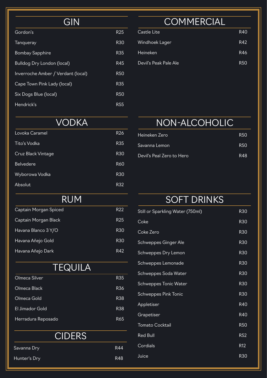## **GIN**

| Gordon's                           | R25        |
|------------------------------------|------------|
| <b>Tanqueray</b>                   | R30        |
| <b>Bombay Sapphire</b>             | R35        |
| <b>Bulldog Dry London (local)</b>  | R45        |
| Inverroche Amber / Verdant (local) | <b>R50</b> |
| Cape Town Pink Lady (local)        | R35        |
| Six Dogs Blue (local)              | R50        |
| Hendrick's                         | R55        |

## **COMMERCIAL**

| Castle Lite           | R40 |
|-----------------------|-----|
| Windhoek Lager        | R42 |
| Heineken              | R46 |
| Devil's Peak Pale Ale | R50 |

#### VODKA

| Lovoka Caramel     | R <sub>26</sub> |
|--------------------|-----------------|
| Tito's Vodka       | R <sub>35</sub> |
| Cruz Black Vintage | R <sub>30</sub> |
| <b>Belvedere</b>   | R60             |
| Wyborowa Vodka     | <b>R30</b>      |
| Absolut            | R32             |

#### RUM

| Captain Morgan Spiced | R <sub>22</sub> |
|-----------------------|-----------------|
| Captain Morgan Black  | R <sub>25</sub> |
| Havana Blanco 3 Y/O   | R <sub>30</sub> |
| Havana Añejo Gold     | R <sub>30</sub> |
| Havana Añejo Dark     | R42             |

#### **TEQUILA**

| Olmeca Silver      | R35             |
|--------------------|-----------------|
| Olmeca Black       | R <sub>36</sub> |
| Olmeca Gold        | R <sub>38</sub> |
| El Jimador Gold    | R <sub>38</sub> |
| Herradura Reposado | R65             |

#### **CIDERS**

| Savanna Dry  | R44 |
|--------------|-----|
| Hunter's Dry | R48 |

#### NON-ALCOHOLIC

| Heineken Zero             | R50 |
|---------------------------|-----|
| . Savanna Lemon           | R50 |
| Devil's Peal Zero to Hero | R48 |

# SOFT DRINKS

| <b>R30</b>      |
|-----------------|
| <b>R30</b>      |
| <b>R30</b>      |
| <b>R30</b>      |
| <b>R30</b>      |
| <b>R30</b>      |
| <b>R30</b>      |
| <b>R30</b>      |
| <b>R30</b>      |
| <b>R40</b>      |
| R40             |
| <b>R50</b>      |
| <b>R52</b>      |
| R <sub>12</sub> |
| <b>R30</b>      |
|                 |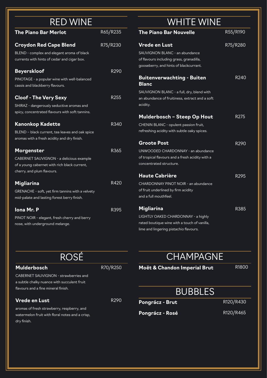| <b>RED WINE</b>                                                                                                                      |          |
|--------------------------------------------------------------------------------------------------------------------------------------|----------|
| <b>The Piano Bar Merlot</b>                                                                                                          | R65/R235 |
| <b>Croydon Red Cape Blend</b><br>BLEND - complex and elegant aroma of black<br>currents with hints of cedar and cigar box.           | R75/R230 |
| <b>Beyerskloof</b><br>PINOTAGE - a popular wine with well-balanced<br>cassis and blackberry flavours.                                | R290     |
| <b>Cloof - The Very Sexy</b><br>SHIRAZ - dangerously seductive aromas and<br>spicy, concentrated flavours with soft tannins.         | R255     |
| <b>Kanonkop Kadette</b><br>BLEND - black current, tea leaves and oak spice<br>aromas with a fresh acidity and dry finish.            | R340     |
| Morgenster<br>CABERNET SAUVIGNON - a delicious example<br>of a young cabernet with rich black current,<br>cherry, and plum flavours. | R365     |
| <b>Migliarina</b><br>GRENACHE - soft, yet firm tannins with a velvety<br>mid-palate and lasting forest berry finish.                 | R420     |
| <b>Iona Mr. P</b><br>PINOT NOIR - elegant, fresh cherry and berry<br>nose, with underground melange.                                 | R395     |

### WHITE WINE

| <b>The Piano Bar Nouvelle</b>                                                                                                                                | R55/R190 |
|--------------------------------------------------------------------------------------------------------------------------------------------------------------|----------|
| <b>Vrede en Lust</b><br>SAUVIGNON BLANC - an abundance<br>of flavours including grass, granadilla,<br>gooseberry, and hints of blackcurrant.                 | R75/R280 |
| <b>Buitenverwachting - Buiten</b><br><b>Blanc</b><br>SAUVIGNON BLANC - a full, dry, blend with<br>an abundance of fruitiness, extract and a soft<br>acidity. | R240     |
| Mulderbosch - Steep Op Hout<br>CHENIN BLANC - opulent passion fruit,<br>refreshing acidity with subtle oaky spices.                                          | R275     |
| <b>Groote Post</b><br>UNWOODED CHARDONNAY - an abundance<br>of tropical flavours and a fresh acidity with a<br>concentrated structure.                       | R290     |
| <b>Haute Cabrière</b><br>CHARDONNAY PINOT NOIR - an abundance<br>of fruit underlined by firm acidity<br>and a full mouthfeel.                                | R295     |
| <b>Migliarina</b><br>LIGHTLY OAKED CHARDONNAY - a highly<br>rated boutique wine with a touch of vanilla,<br>lime and lingering pistachio flavours.           | R385     |

| ROSÉ                                            |                  |
|-------------------------------------------------|------------------|
| <b>Mulderbosch</b>                              | R70/R250         |
| CABERNET SAUVIGNON - strawberries and           |                  |
| a subtle chalky nuance with succulent fruit     |                  |
| flavours and a fine mineral finish.             |                  |
| <b>Vrede en Lust</b>                            | R <sub>290</sub> |
| aromas of fresh strawberry, respberry, and      |                  |
| watermelon fruit with floral notes and a crisp, |                  |
| dry finish.                                     |                  |

**CHAMPAGNE Moët & Chandon Imperial Brut**

R1800

### **BUBBLES**

**Pongrácz - Brut**

R120/R430

**Pongrácz - Rosé**

R120/R465